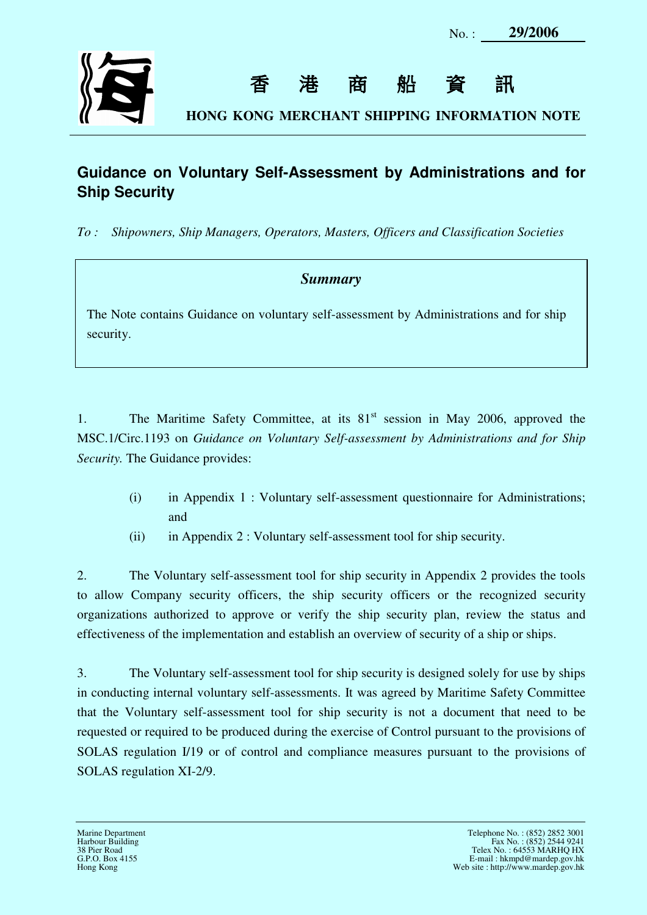

香港商船資訊

**HONG KONG MERCHANT SHIPPING INFORMATION NOTE**

## **Guidance on Voluntary Self-Assessment by Administrations and for Ship Security**

 $To:$ *To : Shipowners, Ship Managers, Operators, Masters, Officers and Classification Societies* 

## *Summary*

 The Note contains Guidance on voluntary self-assessment by Administrations and for ship security.

1. MSC.1/Circ.1193 on *Guidance on Voluntary Self-assessment by Administrations and for Ship Security.* The Guidance provides: The Maritime Safety Committee, at its  $81<sup>st</sup>$  session in May 2006, approved the

- (i) in Appendix 1 : Voluntary self-assessment questionnaire for Administrations; and
- and<br>(ii) in Appendix 2 : Voluntary self-assessment tool for ship security.

 $2.$  to allow Company security officers, the ship security officers or the recognized security organizations authorized to approve or verify the ship security plan, review the status and effectiveness of the implementation and establish an overview of security of a ship or ships. The Voluntary self-assessment tool for ship security in Appendix 2 provides the tools

 $\overline{3}$ . in conducting internal voluntary self-assessments. It was agreed by Maritime Safety Committee that the Voluntary self-assessment tool for ship security is not a document that need to be requested or required to be produced during the exercise of Control pursuant to the provisions of SOLAS regulation I/19 or of control and compliance measures pursuant to the provisions of SOLAS regulation XI-2/9. The Voluntary self-assessment tool for ship security is designed solely for use by ships